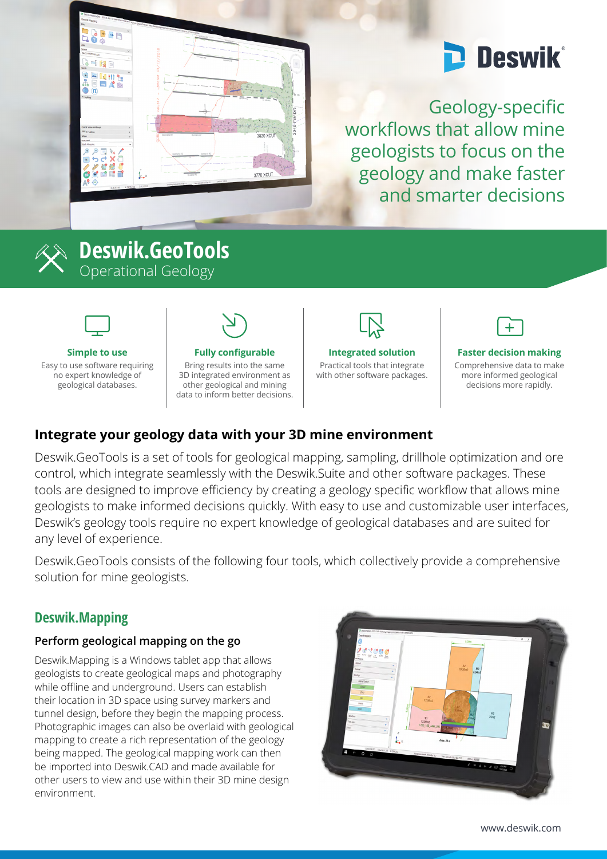

# **Deswik**

Geology-specific workflows that allow mine geologists to focus on the geology and make faster and smarter decisions



## **Deswik.GeoTools** Operational Geology



#### **Simple to use**

Easy to use software requiring no expert knowledge of geological databases.



#### **Fully configurable**

Bring results into the same 3D integrated environment as other geological and mining data to inform better decisions.



**Integrated solution**

Practical tools that integrate with other software packages.



#### **Faster decision making**

Comprehensive data to make more informed geological decisions more rapidly.

## **Integrate your geology data with your 3D mine environment**

Deswik.GeoTools is a set of tools for geological mapping, sampling, drillhole optimization and ore control, which integrate seamlessly with the Deswik.Suite and other software packages. These tools are designed to improve efficiency by creating a geology specific workflow that allows mine geologists to make informed decisions quickly. With easy to use and customizable user interfaces, Deswik's geology tools require no expert knowledge of geological databases and are suited for any level of experience.

Deswik.GeoTools consists of the following four tools, which collectively provide a comprehensive solution for mine geologists.

### **Deswik.Mapping**

#### **Perform geological mapping on the go**

Deswik.Mapping is a Windows tablet app that allows geologists to create geological maps and photography while offline and underground. Users can establish their location in 3D space using survey markers and tunnel design, before they begin the mapping process. Photographic images can also be overlaid with geological mapping to create a rich representation of the geology being mapped. The geological mapping work can then be imported into Deswik.CAD and made available for other users to view and use within their 3D mine design environment.